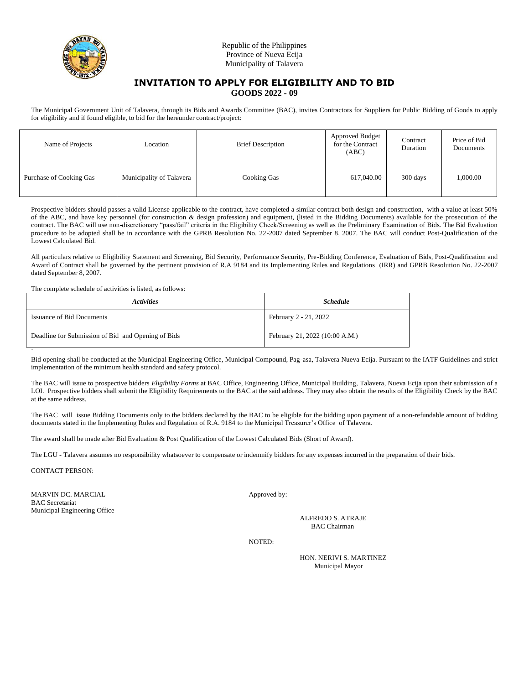

## Republic of the Philippines Province of Nueva Ecija Municipality of Talavera

## **INVITATION TO APPLY FOR ELIGIBILITY AND TO BID GOODS 2022 - 09**

The Municipal Government Unit of Talavera, through its Bids and Awards Committee (BAC), invites Contractors for Suppliers for Public Bidding of Goods to apply for eligibility and if found eligible, to bid for the hereunder contract/project:

| Name of Projects        | Location                 | <b>Brief Description</b> | Approved Budget<br>for the Contract<br>(ABC) | Contract<br>Duration | Price of Bid<br>Documents |
|-------------------------|--------------------------|--------------------------|----------------------------------------------|----------------------|---------------------------|
| Purchase of Cooking Gas | Municipality of Talavera | Cooking Gas              | 617,040.00                                   | 300 days             | 1,000.00                  |

Prospective bidders should passes a valid License applicable to the contract, have completed a similar contract both design and construction, with a value at least 50% of the ABC, and have key personnel (for construction & design profession) and equipment, (listed in the Bidding Documents) available for the prosecution of the contract. The BAC will use non-discretionary "pass/fail" criteria in the Eligibility Check/Screening as well as the Preliminary Examination of Bids. The Bid Evaluation procedure to be adopted shall be in accordance with the GPRB Resolution No. 22-2007 dated September 8, 2007. The BAC will conduct Post-Qualification of the Lowest Calculated Bid.

All particulars relative to Eligibility Statement and Screening, Bid Security, Performance Security, Pre-Bidding Conference, Evaluation of Bids, Post-Qualification and Award of Contract shall be governed by the pertinent provision of R.A 9184 and its Implementing Rules and Regulations (IRR) and GPRB Resolution No. 22-2007 dated September 8, 2007.

The complete schedule of activities is listed, as follows:

| <i><b>Activities</b></i>                           | <b>Schedule</b>                |  |  |
|----------------------------------------------------|--------------------------------|--|--|
| <b>Issuance of Bid Documents</b>                   | February 2 - 21, 2022          |  |  |
| Deadline for Submission of Bid and Opening of Bids | February 21, 2022 (10:00 A.M.) |  |  |

` Bid opening shall be conducted at the Municipal Engineering Office, Municipal Compound, Pag-asa, Talavera Nueva Ecija. Pursuant to the IATF Guidelines and strict implementation of the minimum health standard and safety protocol.

The BAC will issue to prospective bidders *Eligibility Forms* at BAC Office, Engineering Office, Municipal Building, Talavera, Nueva Ecija upon their submission of a LOI. Prospective bidders shall submit the Eligibility Requirements to the BAC at the said address. They may also obtain the results of the Eligibility Check by the BAC at the same address.

The BAC will issue Bidding Documents only to the bidders declared by the BAC to be eligible for the bidding upon payment of a non-refundable amount of bidding documents stated in the Implementing Rules and Regulation of R.A. 9184 to the Municipal Treasurer's Office of Talavera.

The award shall be made after Bid Evaluation & Post Qualification of the Lowest Calculated Bids (Short of Award).

The LGU - Talavera assumes no responsibility whatsoever to compensate or indemnify bidders for any expenses incurred in the preparation of their bids.

CONTACT PERSON:

MARVIN DC. MARCIAL Approved by: BAC Secretariat Municipal Engineering Office

ALFREDO S. ATRAJE BAC Chairman

NOTED:

HON. NERIVI S. MARTINEZ Municipal Mayor